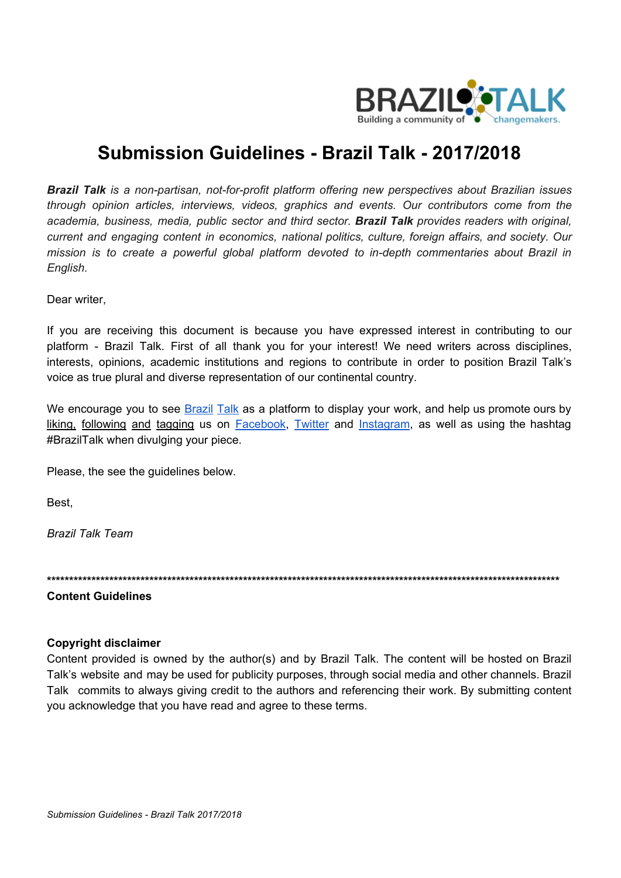

# **Submission Guidelines - Brazil Talk - 2017/2018**

*Brazil Talk is a non-partisan, not-for-profit platform offering new perspectives about Brazilian issues through opinion articles, interviews, videos, graphics and events. Our contributors come from the academia, business, media, public sector and third sector. Brazil Talk provides readers with original, current and engaging content in economics, national politics, culture, foreign affairs, and society. Our mission is to create a powerful global platform devoted to in-depth commentaries about Brazil in English.*

Dear writer.

If you are receiving this document is because you have expressed interest in contributing to our platform - Brazil Talk. First of all thank you for your interest! We need writers across disciplines, interests, opinions, academic institutions and regions to contribute in order to position Brazil Talk's voice as true plural and diverse representation of our continental country.

We encourage you to see **[Brazil](https://braziltalk.org/) Talk** as a platform to display your work, and help us promote ours by liking, following and tagging us on [Facebook,](https://www.facebook.com/braziltalk/) [Twitter](https://twitter.com/braziltalkorg) and [Instagram,](https://www.instagram.com/braziltalk/) as well as using the hashtag #BrazilTalk when divulging your piece.

Please, the see the guidelines below.

Best,

*Brazil Talk Team*

**\*\*\*\*\*\*\*\*\*\*\*\*\*\*\*\*\*\*\*\*\*\*\*\*\*\*\*\*\*\*\*\*\*\*\*\*\*\*\*\*\*\*\*\*\*\*\*\*\*\*\*\*\*\*\*\*\*\*\*\*\*\*\*\*\*\*\*\*\*\*\*\*\*\*\*\*\*\*\*\*\*\*\*\*\*\*\*\*\*\*\*\*\*\*\*\*\*\*\*\*\*\*\*\*\*\*\*\*\*\*\*\*\*\*\***

**Content Guidelines**

#### **Copyright disclaimer**

Content provided is owned by the author(s) and by Brazil Talk. The content will be hosted on Brazil Talk's website and may be used for publicity purposes, through social media and other channels. Brazil Talk commits to always giving credit to the authors and referencing their work. By submitting content you acknowledge that you have read and agree to these terms.